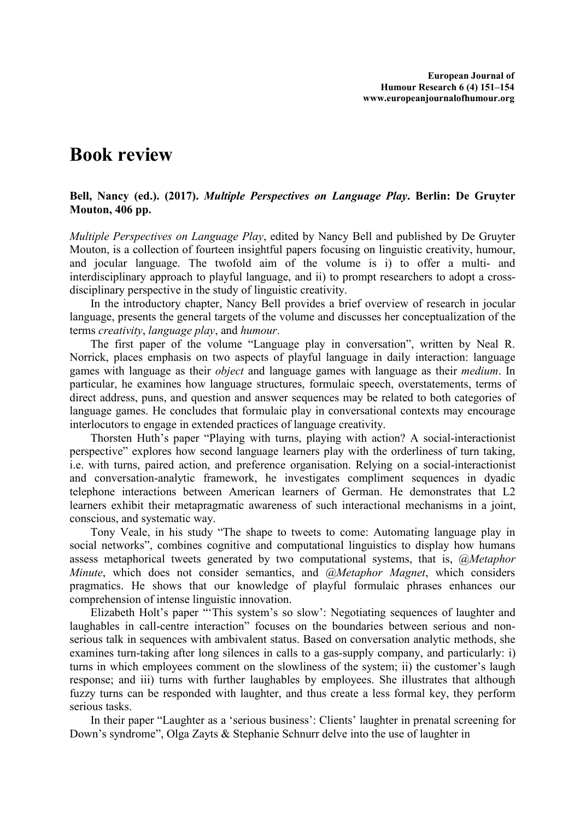## **Book review**

## **Bell, Nancy (ed.). (2017).** *Multiple Perspectives on Language Play***. Berlin: De Gruyter Mouton, 406 pp.**

*Multiple Perspectives on Language Play*, edited by Nancy Bell and published by De Gruyter Mouton, is a collection of fourteen insightful papers focusing on linguistic creativity, humour, and jocular language. The twofold aim of the volume is i) to offer a multi- and interdisciplinary approach to playful language, and ii) to prompt researchers to adopt a crossdisciplinary perspective in the study of linguistic creativity.

In the introductory chapter, Nancy Bell provides a brief overview of research in jocular language, presents the general targets of the volume and discusses her conceptualization of the terms *creativity*, *language play*, and *humour*.

The first paper of the volume "Language play in conversation", written by Neal R. Norrick, places emphasis on two aspects of playful language in daily interaction: language games with language as their *object* and language games with language as their *medium*. In particular, he examines how language structures, formulaic speech, overstatements, terms of direct address, puns, and question and answer sequences may be related to both categories of language games. He concludes that formulaic play in conversational contexts may encourage interlocutors to engage in extended practices of language creativity.

Thorsten Huth's paper "Playing with turns, playing with action? A social-interactionist perspective" explores how second language learners play with the orderliness of turn taking, i.e. with turns, paired action, and preference organisation. Relying on a social-interactionist and conversation-analytic framework, he investigates compliment sequences in dyadic telephone interactions between American learners of German. He demonstrates that L2 learners exhibit their metapragmatic awareness of such interactional mechanisms in a joint, conscious, and systematic way.

Tony Veale, in his study "The shape to tweets to come: Automating language play in social networks", combines cognitive and computational linguistics to display how humans assess metaphorical tweets generated by two computational systems, that is, *@Metaphor Minute*, which does not consider semantics, and *@Metaphor Magnet*, which considers pragmatics. He shows that our knowledge of playful formulaic phrases enhances our comprehension of intense linguistic innovation.

Elizabeth Holt's paper "'This system's so slow': Negotiating sequences of laughter and laughables in call-centre interaction" focuses on the boundaries between serious and non serious talk in sequences with ambivalent status. Based on conversation analytic methods, she examines turn-taking after long silences in calls to a gas-supply company, and particularly: i) turns in which employees comment on the slowliness of the system; ii) the customer's laugh response; and iii) turns with further laughables by employees. She illustrates that although fuzzy turns can be responded with laughter, and thus create a less formal key, they perform serious tasks.

In their paper "Laughter as a 'serious business': Clients' laughter in prenatal screening for Down's syndrome", Olga Zayts & Stephanie Schnurr delve into the use of laughter in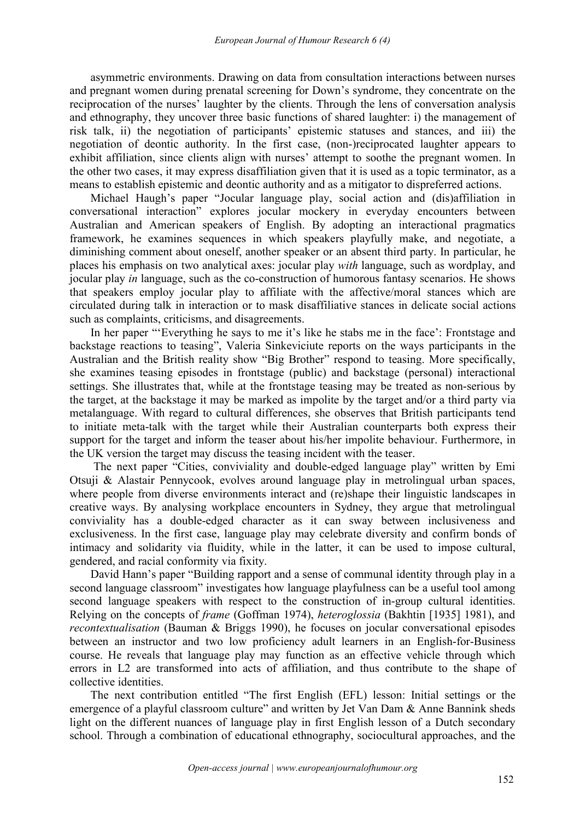asymmetric environments. Drawing on data from consultation interactions between nurses and pregnant women during prenatal screening for Down's syndrome, they concentrate on the reciprocation of the nurses' laughter by the clients. Through the lens of conversation analysis and ethnography, they uncover three basic functions of shared laughter: i) the management of risk talk, ii) the negotiation of participants' epistemic statuses and stances, and iii) the negotiation of deontic authority. In the first case, (non-)reciprocated laughter appears to exhibit affiliation, since clients align with nurses' attempt to soothe the pregnant women. In the other two cases, it may express disaffiliation given that it is used as a topic terminator, as a means to establish epistemic and deontic authority and as a mitigator to dispreferred actions.

Michael Haugh's paper "Jocular language play, social action and (dis)affiliation in conversational interaction" explores jocular mockery in everyday encounters between Australian and American speakers of English. By adopting an interactional pragmatics framework, he examines sequences in which speakers playfully make, and negotiate, a diminishing comment about oneself, another speaker or an absent third party. In particular, he places his emphasis on two analytical axes: jocular play *with* language, such as wordplay, and jocular play *in* language, such as the co-construction of humorous fantasy scenarios. He shows that speakers employ jocular play to affiliate with the affective/moral stances which are circulated during talk in interaction or to mask disaffiliative stances in delicate social actions such as complaints, criticisms, and disagreements.

In her paper "'Everything he says to me it's like he stabs me in the face': Frontstage and backstage reactions to teasing", Valeria Sinkeviciute reports on the ways participants in the Australian and the British reality show "Big Brother" respond to teasing. More specifically, she examines teasing episodes in frontstage (public) and backstage (personal) interactional settings. She illustrates that, while at the frontstage teasing may be treated as non-serious by the target, at the backstage it may be marked as impolite by the target and/or a third party via metalanguage. With regard to cultural differences, she observes that British participants tend to initiate meta-talk with the target while their Australian counterparts both express their support for the target and inform the teaser about his/her impolite behaviour. Furthermore, in the UK version the target may discuss the teasing incident with the teaser.

The next paper "Cities, conviviality and double-edged language play" written by Emi Otsuji & Alastair Pennycook, evolves around language play in metrolingual urban spaces, where people from diverse environments interact and (re)shape their linguistic landscapes in creative ways. By analysing workplace encounters in Sydney, they argue that metrolingual conviviality has a double-edged character as it can sway between inclusiveness and exclusiveness. In the first case, language play may celebrate diversity and confirm bonds of intimacy and solidarity via fluidity, while in the latter, it can be used to impose cultural, gendered, and racial conformity via fixity.

David Hann's paper "Building rapport and a sense of communal identity through play in a second language classroom" investigates how language playfulness can be a useful tool among second language speakers with respect to the construction of in-group cultural identities. Relying on the concepts of *frame* (Goffman 1974), *heteroglossia* (Bakhtin [1935] 1981), and *recontextualisation* (Bauman & Briggs 1990), he focuses on jocular conversational episodes between an instructor and two low proficiency adult learners in an English-for-Business course. He reveals that language play may function as an effective vehicle through which errors in L2 are transformed into acts of affiliation, and thus contribute to the shape of collective identities.

The next contribution entitled "The first English (EFL) lesson: Initial settings or the emergence of a playful classroom culture" and written by Jet Van Dam & Anne Bannink sheds light on the different nuances of language play in first English lesson of a Dutch secondary school. Through a combination of educational ethnography, sociocultural approaches, and the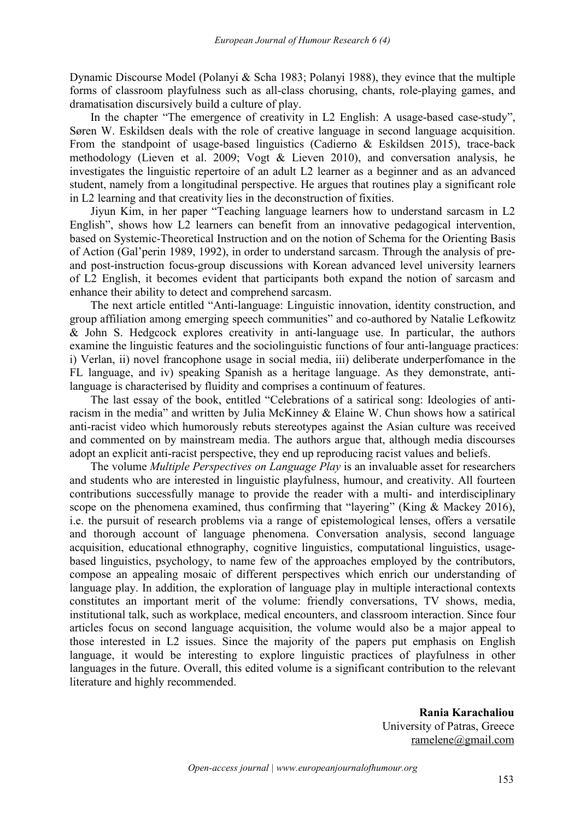Dynamic Discourse Model (Polanyi & Scha 1983; Polanyi 1988), they evince that the multiple forms of classroom playfulness such as all-class chorusing, chants, role-playing games, and dramatisation discursively build a culture of play.

In the chapter "The emergence of creativity in L2 English: A usage-based case-study", Søren W. Eskildsen deals with the role of creative language in second language acquisition. From the standpoint of usage-based linguistics (Cadierno & Eskildsen 2015), trace-back methodology (Lieven et al. 2009; Vogt & Lieven 2010), and conversation analysis, he investigates the linguistic repertoire of an adult L2 learner as a beginner and as an advanced student, namely from a longitudinal perspective. He argues that routines play a significant role in L2 learning and that creativity lies in the deconstruction of fixities.

Jiyun Kim, in her paper "Teaching language learners how to understand sarcasm in L2 English", shows how L2 learners can benefit from an innovative pedagogical intervention, based on Systemic-Theoretical Instruction and on the notion of Schema for the Orienting Basis of Action (Gal'perin 1989, 1992), in order to understand sarcasm. Through the analysis of pre and post-instruction focus-group discussions with Korean advanced level university learners of L2 English, it becomes evident that participants both expand the notion of sarcasm and enhance their ability to detect and comprehend sarcasm.

The next article entitled "Anti-language: Linguistic innovation, identity construction, and group affiliation among emerging speech communities" and co-authored by Natalie Lefkowitz & John S. Hedgcock explores creativity in anti-language use. In particular, the authors examine the linguistic features and the sociolinguistic functions of four anti-language practices: i) Verlan, ii) novel francophone usage in social media, iii) deliberate underperfomance in the FL language, and iv) speaking Spanish as a heritage language. As they demonstrate, antilanguage is characterised by fluidity and comprises a continuum of features.

The last essay of the book, entitled "Celebrations of a satirical song: Ideologies of antiracism in the media" and written by Julia McKinney & Elaine W. Chun shows how a satirical anti-racist video which humorously rebuts stereotypes against the Asian culture was received and commented on by mainstream media. The authors argue that, although media discourses adopt an explicit anti-racist perspective, they end up reproducing racist values and beliefs.

The volume *Multiple Perspectives on Language Play* is an invaluable asset for researchers and students who are interested in linguistic playfulness, humour, and creativity. All fourteen contributions successfully manage to provide the reader with a multi- and interdisciplinary scope on the phenomena examined, thus confirming that "layering" (King & Mackey 2016), i.e. the pursuit of research problems via a range of epistemological lenses, offers a versatile and thorough account of language phenomena. Conversation analysis, second language acquisition, educational ethnography, cognitive linguistics, computational linguistics, usage based linguistics, psychology, to name few of the approaches employed by the contributors, compose an appealing mosaic of different perspectives which enrich our understanding of language play. In addition, the exploration of language play in multiple interactional contexts constitutes an important merit of the volume: friendly conversations, TV shows, media, institutional talk, such as workplace, medical encounters, and classroom interaction. Since four articles focus on second language acquisition, the volume would also be a major appeal to those interested in L2 issues. Since the majority of the papers put emphasis on English language, it would be interesting to explore linguistic practices of playfulness in other languages in the future. Overall, this edited volume is a significant contribution to the relevant literature and highly recommended.

> **Rania Karachaliou** University of Patras, Greece [ramelene@gmail.com](mailto:ramelene@gmail.com)